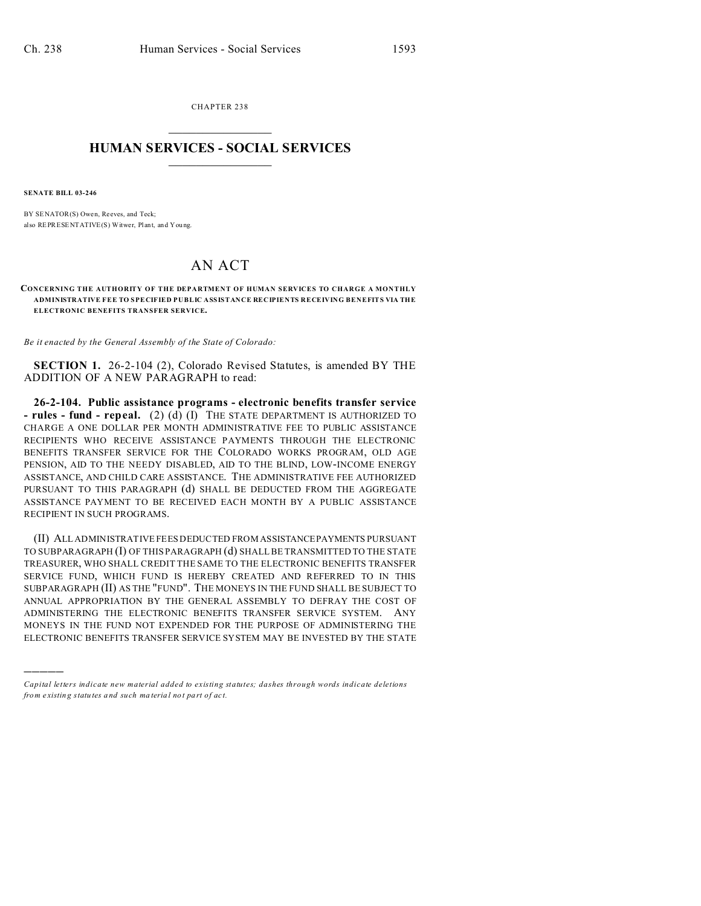CHAPTER 238  $\overline{\phantom{a}}$  , where  $\overline{\phantom{a}}$ 

## **HUMAN SERVICES - SOCIAL SERVICES**  $\frac{1}{2}$  ,  $\frac{1}{2}$  ,  $\frac{1}{2}$  ,  $\frac{1}{2}$  ,  $\frac{1}{2}$  ,  $\frac{1}{2}$

**SENATE BILL 03-246**

)))))

BY SENATOR(S) Owen, Reeves, and Teck; also REPRESENTATIVE(S) Witwer, Plant, and You ng.

## AN ACT

**CONCERNING THE AUTHORITY OF THE DEPARTMENT OF HUMAN SERVICES TO CHARGE A MONTHLY ADMINISTRATIVE FEE TO SPECIFIED PUBLIC ASSISTANCE RECIPIENTS RECEIVING BENEFITS VIA THE ELECTRONIC BENEFITS TRANSFER SERVICE.**

*Be it enacted by the General Assembly of the State of Colorado:*

**SECTION 1.** 26-2-104 (2), Colorado Revised Statutes, is amended BY THE ADDITION OF A NEW PARAGRAPH to read:

**26-2-104. Public assistance programs - electronic benefits transfer service - rules - fund - repeal.** (2) (d) (I) THE STATE DEPARTMENT IS AUTHORIZED TO CHARGE A ONE DOLLAR PER MONTH ADMINISTRATIVE FEE TO PUBLIC ASSISTANCE RECIPIENTS WHO RECEIVE ASSISTANCE PAYMENTS THROUGH THE ELECTRONIC BENEFITS TRANSFER SERVICE FOR THE COLORADO WORKS PROGRAM, OLD AGE PENSION, AID TO THE NEEDY DISABLED, AID TO THE BLIND, LOW-INCOME ENERGY ASSISTANCE, AND CHILD CARE ASSISTANCE. THE ADMINISTRATIVE FEE AUTHORIZED PURSUANT TO THIS PARAGRAPH (d) SHALL BE DEDUCTED FROM THE AGGREGATE ASSISTANCE PAYMENT TO BE RECEIVED EACH MONTH BY A PUBLIC ASSISTANCE RECIPIENT IN SUCH PROGRAMS.

(II) ALL ADMINISTRATIVE FEES DEDUCTED FROM ASSISTANCEPAYMENTS PURSUANT TO SUBPARAGRAPH (I) OF THIS PARAGRAPH (d) SHALL BE TRANSMITTED TO THE STATE TREASURER, WHO SHALL CREDIT THE SAME TO THE ELECTRONIC BENEFITS TRANSFER SERVICE FUND, WHICH FUND IS HEREBY CREATED AND REFERRED TO IN THIS SUBPARAGRAPH (II) AS THE "FUND". THE MONEYS IN THE FUND SHALL BE SUBJECT TO ANNUAL APPROPRIATION BY THE GENERAL ASSEMBLY TO DEFRAY THE COST OF ADMINISTERING THE ELECTRONIC BENEFITS TRANSFER SERVICE SYSTEM. ANY MONEYS IN THE FUND NOT EXPENDED FOR THE PURPOSE OF ADMINISTERING THE ELECTRONIC BENEFITS TRANSFER SERVICE SYSTEM MAY BE INVESTED BY THE STATE

*Capital letters indicate new material added to existing statutes; dashes through words indicate deletions from e xistin g statu tes a nd such ma teria l no t pa rt of ac t.*